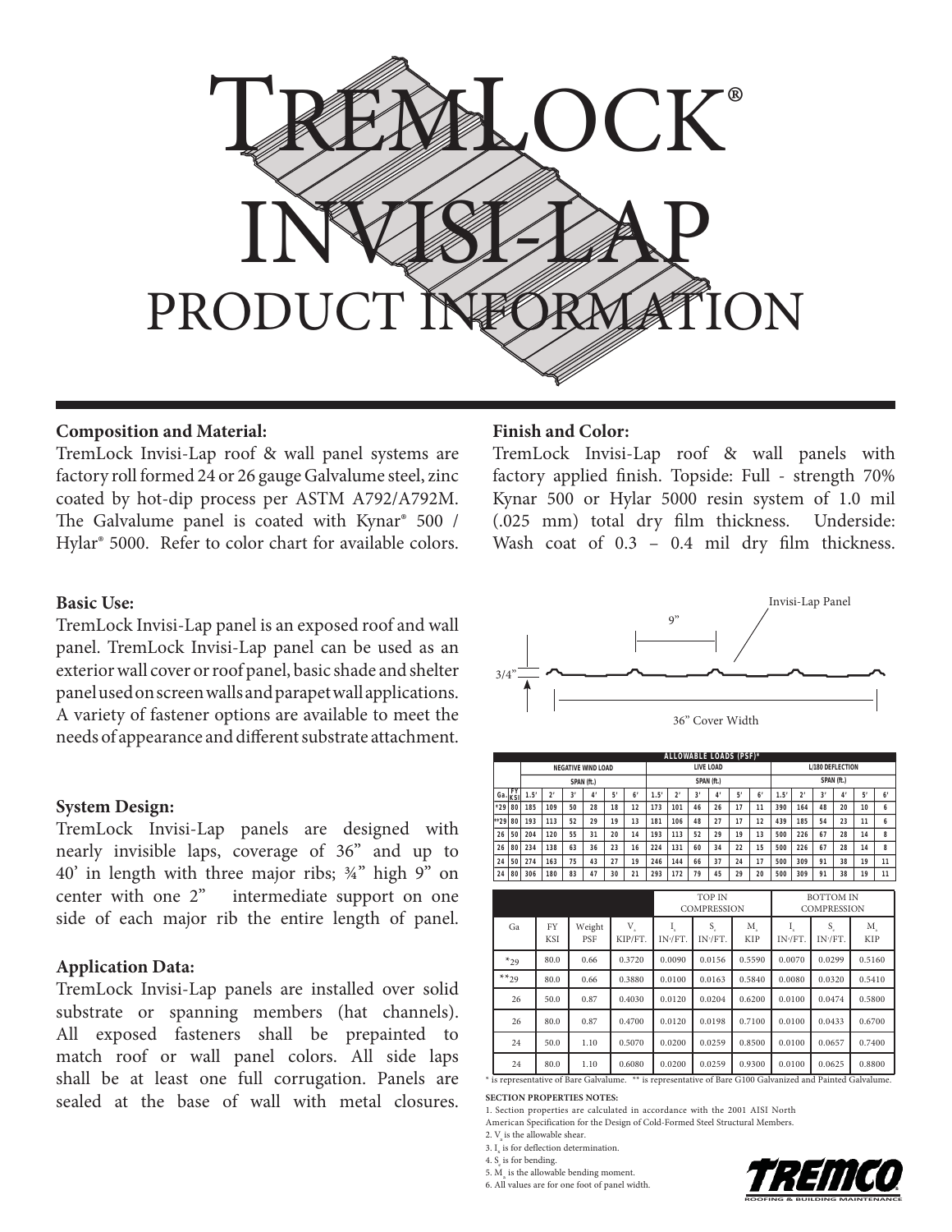

## **Composition and Material:**

TremLock Invisi-Lap roof & wall panel systems are factory roll formed 24 or 26 gauge Galvalume steel, zinc coated by hot-dip process per ASTM A792/A792M. The Galvalume panel is coated with Kynar® 500 / Hylar® 5000. Refer to color chart for available colors.

### **Basic Use:**

TremLock Invisi-Lap panel is an exposed roof and wall panel. TremLock Invisi-Lap panel can be used as an exterior wall cover or roof panel, basic shade and shelter panel used on screen walls and parapet wall applications. A variety of fastener options are available to meet the needs of appearance and different substrate attachment.

### **System Design:**

TremLock Invisi-Lap panels are designed with nearly invisible laps, coverage of 36" and up to  $40'$  in length with three major ribs;  $\frac{3}{4}$ " high 9" on center with one 2" intermediate support on one side of each major rib the entire length of panel.

## **Application Data:**

TremLock Invisi-Lap panels are installed over solid substrate or spanning members (hat channels). All exposed fasteners shall be prepainted to match roof or wall panel colors. All side laps shall be at least one full corrugation. Panels are sealed at the base of wall with metal closures.

#### **Finish and Color:**

TremLock Invisi-Lap roof & wall panels with factory applied finish. Topside: Full - strength 70% Kynar 500 or Hylar 5000 resin system of 1.0 mil (.025 mm) total dry film thickness. Underside: Wash coat of  $0.3 - 0.4$  mil dry film thickness.



|                       | ALLOWABLE LOADS (PSF)* |                           |                |    |                       |    |            |           |     |    |    |            |                         |      |                |    |    |    |    |
|-----------------------|------------------------|---------------------------|----------------|----|-----------------------|----|------------|-----------|-----|----|----|------------|-------------------------|------|----------------|----|----|----|----|
|                       |                        | <b>NEGATIVE WIND LOAD</b> |                |    |                       |    |            | LIVE LOAD |     |    |    |            | <b>L/180 DEFLECTION</b> |      |                |    |    |    |    |
|                       |                        | SPAN (ft.)                |                |    |                       |    | SPAN (ft.) |           |     |    |    | SPAN (ft.) |                         |      |                |    |    |    |    |
| ı Ga. <sub>İKSI</sub> | <b>FY</b>              | 1.5'                      | 2 <sup>1</sup> | 3' | $\mathbf{4}^{\prime}$ | 5' | 6'         | 1.5'      | 2'  | 3' | 4' | 5'         | 6'                      | 1.5' | 2 <sup>1</sup> | 3' | 4  | 5' | 6' |
| $*29$                 | 80                     | 185                       | 109            | 50 | 28                    | 18 | 12         | 173       | 101 | 46 | 26 | 17         | 11                      | 390  | 164            | 48 | 20 | 10 | 6  |
| $+29$                 | 80                     | 193                       | 113            | 52 | 29                    | 19 | 13         | 181       | 106 | 48 | 27 | 17         | 12                      | 439  | 185            | 54 | 23 | 11 | 6  |
| 26                    | 50                     | 204                       | 120            | 55 | 31                    | 20 | 14         | 193       | 113 | 52 | 29 | 19         | 13                      | 500  | 226            | 67 | 28 | 14 | 8  |
| 26                    | 80                     | 234                       | 138            | 63 | 36                    | 23 | 16         | 224       | 131 | 60 | 34 | 22         | 15                      | 500  | 226            | 67 | 28 | 14 | 8  |
| 24                    | 50                     | 274                       | 163            | 75 | 43                    | 27 | 19         | 246       | 144 | 66 | 37 | 24         | 17                      | 500  | 309            | 91 | 38 | 19 | 11 |
| 24                    | 80                     | 306                       | 180            | 83 | 47                    | 30 | 21         | 293       | 172 | 79 | 45 | 29         | 20                      | 500  | 309            | 91 | 38 | 19 | 11 |

|                                                                                                            |           |                  |               |                                         |         | <b>TOP IN</b><br><b>COMPRESSION</b> |                  | <b>BOTTOM IN</b><br><b>COMPRESSION</b> |                            |                  |  |
|------------------------------------------------------------------------------------------------------------|-----------|------------------|---------------|-----------------------------------------|---------|-------------------------------------|------------------|----------------------------------------|----------------------------|------------------|--|
|                                                                                                            | Ga        | FY<br><b>KSI</b> | Weight<br>PSF | $\mathbf{V}_{_{\mathrm{a}}}$<br>KIP/FT. | IN-/FT. | $S_{c}$<br>IN <sup>s</sup> /FT.     | M.<br><b>KIP</b> | IN+/FT.                                | S.<br>IN <sup>-/FT</sup> . | M.<br><b>KIP</b> |  |
|                                                                                                            | $*_{29}$  | 80.0             | 0.66          | 0.3720<br>0.0090                        |         | 0.0156                              | 0.5590           | 0.0070                                 | 0.0299                     | 0.5160           |  |
|                                                                                                            | $**_{29}$ | 80.0             | 0.66          | 0.3880                                  | 0.0100  | 0.0163                              | 0.5840           | 0.0080                                 | 0.0320                     | 0.5410           |  |
|                                                                                                            | 26        | 50.0             | 0.87          | 0.4030                                  | 0.0120  | 0.0204                              | 0.6200           | 0.0100                                 | 0.0474                     | 0.5800           |  |
|                                                                                                            | 26        | 80.0             | 0.87          | 0.4700                                  | 0.0120  | 0.0198                              | 0.7100           | 0.0100                                 | 0.0433                     | 0.6700           |  |
|                                                                                                            | 24        | 50.0             | 1.10          | 0.5070                                  | 0.0200  | 0.0259                              | 0.8500           | 0.0100                                 | 0.0657                     | 0.7400           |  |
|                                                                                                            | 24        | 80.0             | 1.10          | 0.6080                                  | 0.0200  | 0.0259                              | 0.9300           | 0.0100                                 | 0.0625                     | 0.8800           |  |
| * is representative of Bare Galvalume. ** is representative of Bare G100 Galvanized and Painted Galvalume. |           |                  |               |                                         |         |                                     |                  |                                        |                            |                  |  |

**SECTION PROPERTIES NOTES:**

1. Section properties are calculated in accordance with the 2001 AISI North American Specification for the Design of Cold-Formed Steel Structural Members.

2.  $V_{\alpha}$  is the allowable shear.

3.  $\text{I}_{\text{x}}$  is for deflection determination.

4.  $S_e$  is for bending.

5.  $M_a$  is the allowable bending moment.

6. All values are for one foot of panel width.